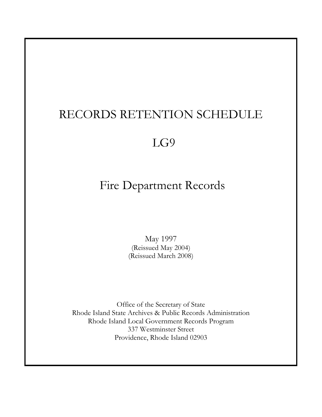# RECORDS RETENTION SCHEDULE

# LG9

# Fire Department Records

May 1997 (Reissued May 2004) (Reissued March 2008)

Office of the Secretary of State Rhode Island State Archives & Public Records Administration Rhode Island Local Government Records Program 337 Westminster Street Providence, Rhode Island 02903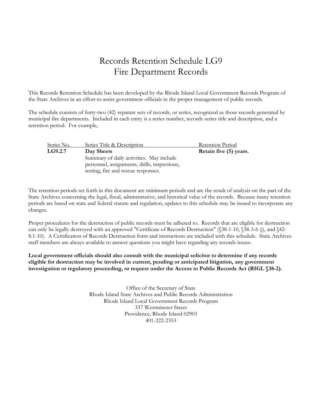## Records Retention Schedule LG9 Fire Department Records

This Records Retention Schedule has been developed by the Rhode Island Local Government Records Program of the State Archives in an effort to assist government officials in the proper management of public records.

The schedule consists of forty-two (42) separate sets of records, or series, recognized as those records generated by municipal fire departments. Included in each entry is a series number, records series title and description, and a retention period. For example,

| Series No. | Series Title & Description                   | Retention Period       |
|------------|----------------------------------------------|------------------------|
| LG9.2.7    | Day Sheets                                   | Retain five (5) years. |
|            | Summary of daily activities. May include     |                        |
|            | personnel, assignments, drills, inspections, |                        |
|            | testing, fire and rescue responses.          |                        |

The retention periods set forth in this document are minimum periods and are the result of analysis on the part of the State Archives concerning the legal, fiscal, administrative, and historical value of the records. Because many retention periods are based on state and federal statute and regulation, updates to this schedule may be issued to incorporate any changes.

Proper procedures for the destruction of public records must be adhered to. Records that are eligible for destruction can only be legally destroyed with an approved "Certificate of Records Destruction" (§38-1-10, §38-3-6 (j), and §42- 8.1-10). A Certification of Records Destruction form and instructions are included with this schedule. State Archives staff members are always available to answer questions you might have regarding any records issues.

**Local government officials should also consult with the municipal solicitor to determine if any records eligible for destruction may be involved in current, pending or anticipated litigation, any government investigation or regulatory proceeding, or request under the Access to Public Records Act (RIGL §38-2).** 

> Office of the Secretary of State Rhode Island State Archives and Public Records Administration Rhode Island Local Government Records Program 337 Westminster Street Providence, Rhode Island 02903 401-222-2353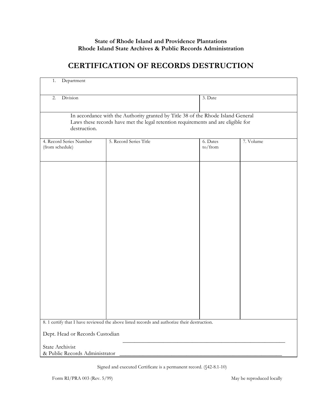#### **State of Rhode Island and Providence Plantations Rhode Island State Archives & Public Records Administration**

### **CERTIFICATION OF RECORDS DESTRUCTION**

| Department<br>1.                                  |                                                                                                                                                                       |                     |           |
|---------------------------------------------------|-----------------------------------------------------------------------------------------------------------------------------------------------------------------------|---------------------|-----------|
| Division<br>2.                                    |                                                                                                                                                                       | 3. Date             |           |
| destruction.                                      | In accordance with the Authority granted by Title 38 of the Rhode Island General<br>Laws these records have met the legal retention requirements and are eligible for |                     |           |
| 4. Record Series Number<br>(from schedule)        | 5. Record Series Title                                                                                                                                                | 6. Dates<br>to/from | 7. Volume |
|                                                   |                                                                                                                                                                       |                     |           |
|                                                   |                                                                                                                                                                       |                     |           |
|                                                   |                                                                                                                                                                       |                     |           |
|                                                   |                                                                                                                                                                       |                     |           |
|                                                   |                                                                                                                                                                       |                     |           |
|                                                   |                                                                                                                                                                       |                     |           |
|                                                   | 8. 1 certify that I have reviewed the above listed records and authorize their destruction.                                                                           |                     |           |
| Dept. Head or Records Custodian                   |                                                                                                                                                                       |                     |           |
| State Archivist<br>& Public Records Administrator |                                                                                                                                                                       |                     |           |

Signed and executed Certificate is a permanent record. (§42-8.1-10)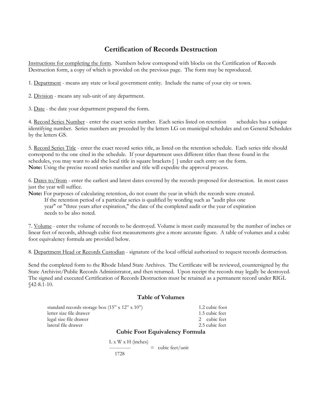#### **Certification of Records Destruction**

Instructions for completing the form. Numbers below correspond with blocks on the Certification of Records Destruction form, a copy of which is provided on the previous page. The form may be reproduced.

1. Department - means any state or local government entity. Include the name of your city or town.

2. Division - means any sub-unit of any department.

3. Date - the date your department prepared the form.

4. Record Series Number - enter the exact series number. Each series listed on retention schedules has a unique identifying number. Series numbers are preceded by the letters LG on municipal schedules and on General Schedules by the letters GS.

5. Record Series Title - enter the exact record series title, as listed on the retention schedule. Each series title should correspond to the one cited in the schedule. If your department uses different titles than those found in the schedules, you may want to add the local title in square brackets [ ] under each entry on the form. **Note:** Using the precise record series number and title will expedite the approval process.

6. Dates to/from - enter the earliest and latest dates covered by the records proposed for destruction. In most cases just the year will suffice.

**Note:** For purposes of calculating retention, do not count the year in which the records were created. If the retention period of a particular series is qualified by wording such as "audit plus one year" or "three years after expiration," the date of the completed audit or the year of expiration needs to be also noted.

7. Volume - enter the volume of records to be destroyed. Volume is most easily measured by the number of inches or linear feet of records, although cubic foot measurements give a more accurate figure. A table of volumes and a cubic foot equivalency formula are provided below.

8. Department Head or Records Custodian - signature of the local official authorized to request records destruction.

Send the completed form to the Rhode Island State Archives. The Certificate will be reviewed, countersigned by the State Archivist/Public Records Administrator, and then returned. Upon receipt the records may legally be destroyed. The signed and executed Certification of Records Destruction must be retained as a permanent record under RIGL §42-8.1-10.

#### **Table of Volumes**

| standard records storage box $(15" \times 12" \times 10")$ | 1.2 cubic foot                |
|------------------------------------------------------------|-------------------------------|
| letter size file drawer                                    | 1.5 cubic feet                |
| legal size file drawer                                     | 2 cubic feet                  |
| lateral file drawer                                        | 2.5 cubic feet                |
|                                                            | Cubic Foot Fourwalong Formula |

#### **Cubic Foot Equivalency Formula**

 $L x W x H (inches)$ 

 $\frac{1}{2}$  cubic feet/unit 1728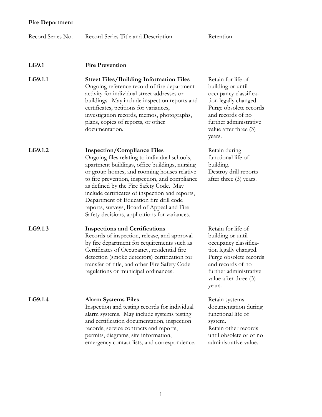| Record Series No. | Record Series Title and Description                                                                                                                                                                                                                                                                                                                                                                                                                                            | Retention                                                                                                                                                                                               |
|-------------------|--------------------------------------------------------------------------------------------------------------------------------------------------------------------------------------------------------------------------------------------------------------------------------------------------------------------------------------------------------------------------------------------------------------------------------------------------------------------------------|---------------------------------------------------------------------------------------------------------------------------------------------------------------------------------------------------------|
| LG9.1             | <b>Fire Prevention</b>                                                                                                                                                                                                                                                                                                                                                                                                                                                         |                                                                                                                                                                                                         |
| LG9.1.1           | <b>Street Files/Building Information Files</b><br>Ongoing reference record of fire department<br>activity for individual street addresses or<br>buildings. May include inspection reports and<br>certificates, petitions for variances,<br>investigation records, memos, photographs,<br>plans, copies of reports, or other<br>documentation.                                                                                                                                  | Retain for life of<br>building or until<br>occupancy classifica-<br>tion legally changed.<br>Purge obsolete records<br>and records of no<br>further administrative<br>value after three $(3)$<br>years. |
| LG9.1.2           | <b>Inspection/Compliance Files</b><br>Ongoing files relating to individual schools,<br>apartment buildings, office buildings, nursing<br>or group homes, and rooming houses relative<br>to fire prevention, inspection, and compliance<br>as defined by the Fire Safety Code. May<br>include certificates of inspection and reports,<br>Department of Education fire drill code<br>reports, surveys, Board of Appeal and Fire<br>Safety decisions, applications for variances. | Retain during<br>functional life of<br>building.<br>Destroy drill reports<br>after three (3) years.                                                                                                     |
| LG9.1.3           | <b>Inspections and Certifications</b><br>Records of inspection, release, and approval<br>by fire department for requirements such as<br>Certificates of Occupancy, residential fire<br>detection (smoke detectors) certification for<br>transfer of title, and other Fire Safety Code<br>regulations or municipal ordinances.                                                                                                                                                  | Retain for life of<br>building or until<br>occupancy classifica-<br>tion legally changed.<br>Purge obsolete records<br>and records of no<br>further administrative<br>value after three (3)<br>years.   |
| LG9.1.4           | <b>Alarm Systems Files</b><br>Inspection and testing records for individual<br>alarm systems. May include systems testing<br>and certification documentation, inspection<br>records, service contracts and reports,<br>permits, diagrams, site information,<br>emergency contact lists, and correspondence.                                                                                                                                                                    | Retain systems<br>documentation during<br>functional life of<br>system.<br>Retain other records<br>until obsolete or of no<br>administrative value.                                                     |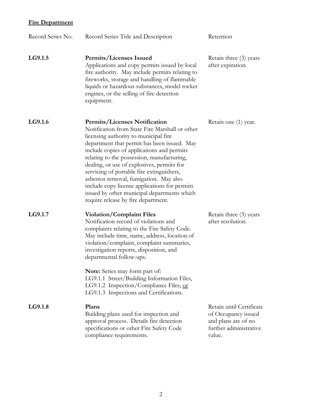| Record Series No. | Record Series Title and Description                                                                                                                                                                                                                                                                                                                                                                                                                                                                                                                    | Retention                                                                                                  |
|-------------------|--------------------------------------------------------------------------------------------------------------------------------------------------------------------------------------------------------------------------------------------------------------------------------------------------------------------------------------------------------------------------------------------------------------------------------------------------------------------------------------------------------------------------------------------------------|------------------------------------------------------------------------------------------------------------|
| LG9.1.5           | <b>Permits/Licenses Issued</b><br>Applications and copy permits issued by local<br>fire authority. May include permits relating to<br>fireworks, storage and handling of flammable<br>liquids or hazardous substances, model rocket<br>engines, or the selling of fire detection<br>equipment.                                                                                                                                                                                                                                                         | Retain three (3) years<br>after expiration.                                                                |
| LG9.1.6           | <b>Permits/Licenses Notification</b><br>Notification from State Fire Marshall or other<br>licensing authority to municipal fire<br>department that permit has been issued. May<br>include copies of applications and permits<br>relating to the possession, manufacturing,<br>dealing, or use of explosives, permits for<br>servicing of portable fire extinguishers,<br>asbestos removal, fumigation. May also<br>include copy license applications for permits<br>issued by other municipal departments which<br>require release by fire department. | Retain one (1) year.                                                                                       |
| LG9.1.7           | <b>Violation/Complaint Files</b><br>Notification record of violations and<br>complaints relating to the Fire Safety Code.<br>May include time, name, address, location of<br>violation/complaint, complaint summaries,<br>investigation reports, disposition, and<br>departmental follow-ups.<br><b>Note:</b> Series may form part of:<br>LG9.1.1 Street/Building Information Files,                                                                                                                                                                   | Retain three (3) years<br>after resolution.                                                                |
|                   | LG9.1.2 Inspection/Compliance Files, or<br>LG9.1.3 Inspections and Certifications.                                                                                                                                                                                                                                                                                                                                                                                                                                                                     |                                                                                                            |
| LG9.1.8           | Plans<br>Building plans used for inspection and<br>approval process. Details fire detection<br>specifications or other Fire Safety Code<br>compliance requirements.                                                                                                                                                                                                                                                                                                                                                                                    | Retain until Certificate<br>of Occupancy issued<br>and plans are of no<br>further administrative<br>value. |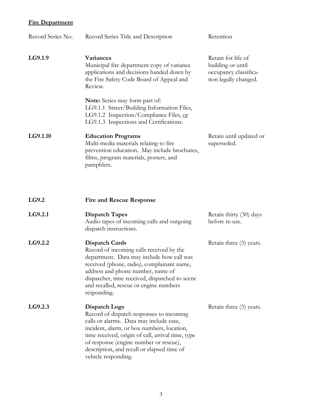| Record Series No. | Record Series Title and Description                                                                                                                                                                                                                                                                                    | Retention                                                                                 |
|-------------------|------------------------------------------------------------------------------------------------------------------------------------------------------------------------------------------------------------------------------------------------------------------------------------------------------------------------|-------------------------------------------------------------------------------------------|
| LG9.1.9           | <b>Variances</b><br>Municipal fire department copy of variance<br>applications and decisions handed down by<br>the Fire Safety Code Board of Appeal and<br>Review.                                                                                                                                                     | Retain for life of<br>building or until<br>occupancy classifica-<br>tion legally changed. |
|                   | Note: Series may form part of:<br>LG9.1.1 Street/Building Information Files,<br>LG9.1.2 Inspection/Compliance Files, or<br>LG9.1.3 Inspections and Certifications.                                                                                                                                                     |                                                                                           |
| LG9.1.10          | <b>Education Programs</b><br>Multi-media materials relating to fire<br>prevention education. May include brochures,<br>films, program materials, posters, and<br>pamphlets.                                                                                                                                            | Retain until updated or<br>superseded.                                                    |
| LG9.2             | <b>Fire and Rescue Response</b>                                                                                                                                                                                                                                                                                        |                                                                                           |
| LG9.2.1           | <b>Dispatch Tapes</b><br>Audio tapes of incoming calls and outgoing<br>dispatch instructions.                                                                                                                                                                                                                          | Retain thirty (30) days<br>before re-use.                                                 |
| LG9.2.2           | <b>Dispatch Cards</b><br>Record of incoming calls received by the<br>department. Data may include how call was<br>received (phone, radio), complainant name,<br>address and phone number, name of<br>dispatcher, time received, dispatched to scene<br>and recalled, rescue or engine numbers<br>responding.           | Retain three (3) years.                                                                   |
| LG9.2.3           | Dispatch Logs<br>Record of dispatch responses to incoming<br>calls or alarms. Data may include case,<br>incident, alarm, or box numbers, location,<br>time received, origin of call, arrival time, type<br>of response (engine number or rescue),<br>description, and recall or elapsed time of<br>vehicle responding. | Retain three (3) years.                                                                   |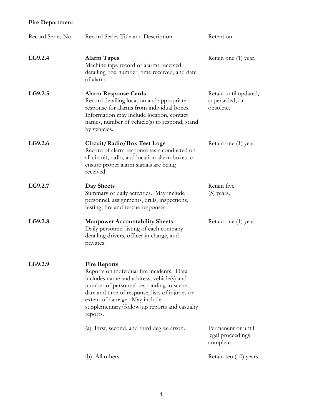| Record Series No. | Record Series Title and Description                                                                                                                                                                                                                                                                        | Retention                                            |
|-------------------|------------------------------------------------------------------------------------------------------------------------------------------------------------------------------------------------------------------------------------------------------------------------------------------------------------|------------------------------------------------------|
| LG9.2.4           | <b>Alarm Tapes</b><br>Machine tape record of alarms received<br>detailing box number, time received, and date<br>of alarm.                                                                                                                                                                                 | Retain one (1) year.                                 |
| LG9.2.5           | <b>Alarm Response Cards</b><br>Record detailing location and appropriate<br>response for alarms from individual boxes.<br>Information may include location, contact<br>names, number of vehicle(s) to respond, stand<br>by vehicles.                                                                       | Retain until updated,<br>superseded, or<br>obsolete. |
| LG9.2.6           | Circuit/Radio/Box Test Logs<br>Record of alarm response tests conducted on<br>all circuit, radio, and location alarm boxes to<br>ensure proper alarm signals are being<br>received.                                                                                                                        | Retain one (1) year.                                 |
| LG9.2.7           | Day Sheets<br>Summary of daily activities. May include<br>personnel, assignments, drills, inspections,<br>testing, fire and rescue responses.                                                                                                                                                              | Retain five<br>$(5)$ years.                          |
| LG9.2.8           | <b>Manpower Accountability Sheets</b><br>Daily personnel listing of each company<br>detailing drivers, officer in charge, and<br>privates.                                                                                                                                                                 | Retain one (1) year.                                 |
| LG9.2.9           | <b>Fire Reports</b><br>Reports on individual fire incidents. Data<br>includes name and address, vehicle(s) and<br>number of personnel responding to scene,<br>date and time of response, lists of injuries or<br>extent of damage. May include<br>supplementary/follow-up reports and casualty<br>reports. |                                                      |
|                   | (a) First, second, and third degree arson.                                                                                                                                                                                                                                                                 | Permanent or until<br>legal proceedings<br>complete. |
|                   | (b) All others.                                                                                                                                                                                                                                                                                            | Retain ten (10) years.                               |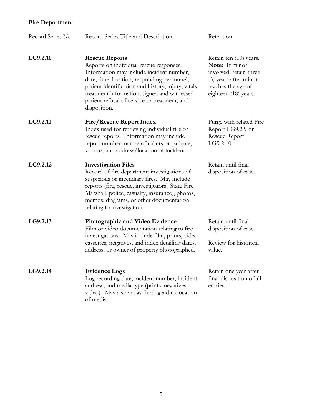| Record Series No. | Record Series Title and Description                                                                                                                                                                                                                                                                                               | Retention                                                                                                                                 |
|-------------------|-----------------------------------------------------------------------------------------------------------------------------------------------------------------------------------------------------------------------------------------------------------------------------------------------------------------------------------|-------------------------------------------------------------------------------------------------------------------------------------------|
| LG9.2.10          | <b>Rescue Reports</b><br>Reports on individual rescue responses.<br>Information may include incident number,<br>date, time, location, responding personnel,<br>patient identification and history, injury, vitals,<br>treatment information, signed and witnessed<br>patient refusal of service or treatment, and<br>disposition. | Retain ten (10) years.<br>Note: If minor<br>involved, retain three<br>(3) years after minor<br>reaches the age of<br>eighteen (18) years. |
| LG9.2.11          | <b>Fire/Rescue Report Index</b><br>Index used for retrieving individual fire or<br>rescue reports. Information may include<br>report number, names of callers or patients,<br>victims, and address/location of incident.                                                                                                          | Purge with related Fire<br>Report LG9.2.9 or<br>Rescue Report<br>LG9.2.10.                                                                |
| LG9.2.12          | <b>Investigation Files</b><br>Record of fire department investigations of<br>suspicious or incendiary fires. May include<br>reports (fire, rescue, investigators', State Fire<br>Marshall, police, casualty, insurance), photos,<br>memos, diagrams, or other documentation<br>relating to investigation.                         | Retain until final<br>disposition of case.                                                                                                |
| LG9.2.13          | Photographic and Video Evidence<br>Film or video documentation relating to fire<br>investigations. May include film, prints, video<br>cassettes, negatives, and index detailing dates,<br>address, or owner of property photographed.                                                                                             | Retain until final<br>disposition of case.<br>Review for historical<br>value.                                                             |
| LG9.2.14          | <b>Evidence Logs</b><br>Log recording date, incident number, incident<br>address, and media type (prints, negatives,<br>video). May also act as finding aid to location<br>of media.                                                                                                                                              | Retain one year after<br>final disposition of all<br>entries.                                                                             |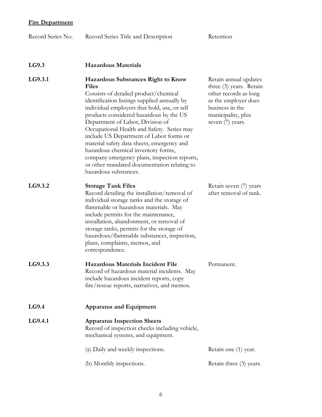| Record Series No. | Record Series Title and Description                                                                                                                                                                                                                                                                                                                                                                                                                                                                                                                                                     | Retention                                                                                                                                                      |
|-------------------|-----------------------------------------------------------------------------------------------------------------------------------------------------------------------------------------------------------------------------------------------------------------------------------------------------------------------------------------------------------------------------------------------------------------------------------------------------------------------------------------------------------------------------------------------------------------------------------------|----------------------------------------------------------------------------------------------------------------------------------------------------------------|
|                   |                                                                                                                                                                                                                                                                                                                                                                                                                                                                                                                                                                                         |                                                                                                                                                                |
| LG9.3             | <b>Hazardous Materials</b>                                                                                                                                                                                                                                                                                                                                                                                                                                                                                                                                                              |                                                                                                                                                                |
| LG9.3.1           | <b>Hazardous Substances Right to Know</b><br><b>Files</b><br>Consists of detailed product/chemical<br>identification listings supplied annually by<br>individual employers that hold, use, or sell<br>products considered hazardous by the US<br>Department of Labor, Division of<br>Occupational Health and Safety. Series may<br>include US Department of Labor forms or<br>material safety data sheets, emergency and<br>hazardous chemical inventory forms,<br>company emergency plans, inspection reports,<br>or other mandated documentation relating to<br>hazardous substances. | Retain annual updates<br>three (3) years. Retain<br>other records as long<br>as the employer does<br>business in the<br>municipality, plus<br>seven (7) years. |
| LG9.3.2           | <b>Storage Tank Files</b><br>Record detailing the installation/removal of<br>individual storage tanks and the storage of<br>flammable or hazardous materials. May<br>include permits for the maintenance,<br>installation, abandonment, or removal of<br>storage tanks, permits for the storage of<br>hazardous/flammable substances, inspection,<br>plans, complaints, memos, and<br>correspondence.                                                                                                                                                                                   | Retain seven (7) years<br>after removal of tank.                                                                                                               |
| LG9.3.3           | Hazardous Materials Incident File<br>Record of hazardous material incidents. May<br>include hazardous incident reports, copy<br>fire/rescue reports, narratives, and memos.                                                                                                                                                                                                                                                                                                                                                                                                             | Permanent.                                                                                                                                                     |
| LG9.4             | <b>Apparatus and Equipment</b>                                                                                                                                                                                                                                                                                                                                                                                                                                                                                                                                                          |                                                                                                                                                                |
| LG9.4.1           | <b>Apparatus Inspection Sheets</b><br>Record of inspection checks including vehicle,<br>mechanical systems, and equipment.                                                                                                                                                                                                                                                                                                                                                                                                                                                              |                                                                                                                                                                |
|                   | (a) Daily and weekly inspections.                                                                                                                                                                                                                                                                                                                                                                                                                                                                                                                                                       | Retain one (1) year.                                                                                                                                           |
|                   | (b) Monthly inspections.                                                                                                                                                                                                                                                                                                                                                                                                                                                                                                                                                                | Retain three (3) years.                                                                                                                                        |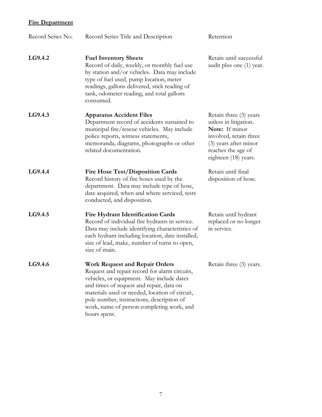| Record Series No. | Record Series Title and Description                                                                                                                                                                                                                                                                                                         | Retention                                                                                                                                                          |
|-------------------|---------------------------------------------------------------------------------------------------------------------------------------------------------------------------------------------------------------------------------------------------------------------------------------------------------------------------------------------|--------------------------------------------------------------------------------------------------------------------------------------------------------------------|
| LG9.4.2           | <b>Fuel Inventory Sheets</b><br>Record of daily, weekly, or monthly fuel use<br>by station and/or vehicles. Data may include<br>type of fuel used, pump location, meter<br>readings, gallons delivered, stick reading of<br>tank, odometer reading, and total gallons<br>consumed.                                                          | Retain until successful<br>audit plus one (1) year.                                                                                                                |
| LG9.4.3           | <b>Apparatus Accident Files</b><br>Department record of accidents sustained to<br>municipal fire/rescue vehicles. May include<br>police reports, witness statements,<br>memoranda, diagrams, photographs or other<br>related documentation.                                                                                                 | Retain three (3) years<br>unless in litigation.<br>Note: If minor<br>involved, retain three<br>(3) years after minor<br>reaches the age of<br>eighteen (18) years. |
| LG9.4.4           | <b>Fire Hose Test/Disposition Cards</b><br>Record history of fire hoses used by the<br>department. Data may include type of hose,<br>date acquired, when and where serviced, tests<br>conducted, and disposition.                                                                                                                           | Retain until final<br>disposition of hose.                                                                                                                         |
| LG9.4.5           | <b>Fire Hydrant Identification Cards</b><br>Record of individual fire hydrants in service.<br>Data may include identifying characteristics of<br>each hydrant including location, date installed,<br>size of lead, make, number of turns to open,<br>size of main.                                                                          | Retain until hydrant<br>replaced or no longer<br>in service.                                                                                                       |
| LG9.4.6           | <b>Work Request and Repair Orders</b><br>Request and repair record for alarm circuits,<br>vehicles, or equipment. May include dates<br>and times of request and repair, data on<br>materials used or needed, location of circuit,<br>pole number, instructions, description of<br>work, name of person completing work, and<br>hours spent. | Retain three (3) years.                                                                                                                                            |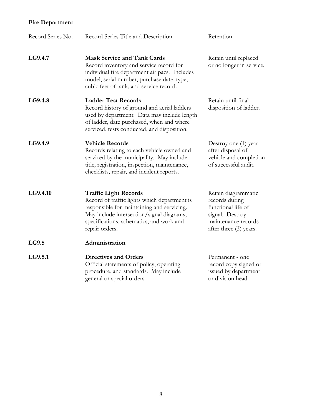| Record Series No. | Record Series Title and Description                                                                                                                                                                                                   | Retention                                                                                                                       |
|-------------------|---------------------------------------------------------------------------------------------------------------------------------------------------------------------------------------------------------------------------------------|---------------------------------------------------------------------------------------------------------------------------------|
| LG9.4.7           | <b>Mask Service and Tank Cards</b><br>Record inventory and service record for<br>individual fire department air pacs. Includes<br>model, serial number, purchase date, type,<br>cubic feet of tank, and service record.               | Retain until replaced<br>or no longer in service.                                                                               |
| LG9.4.8           | <b>Ladder Test Records</b><br>Record history of ground and aerial ladders<br>used by department. Data may include length<br>of ladder, date purchased, when and where<br>serviced, tests conducted, and disposition.                  | Retain until final<br>disposition of ladder.                                                                                    |
| LG9.4.9           | <b>Vehicle Records</b><br>Records relating to each vehicle owned and<br>serviced by the municipality. May include<br>title, registration, inspection, maintenance,<br>checklists, repair, and incident reports.                       | Destroy one (1) year<br>after disposal of<br>vehicle and completion<br>of successful audit.                                     |
| LG9.4.10          | <b>Traffic Light Records</b><br>Record of traffic lights which department is<br>responsible for maintaining and servicing.<br>May include intersection/signal diagrams,<br>specifications, schematics, and work and<br>repair orders. | Retain diagrammatic<br>records during<br>functional life of<br>signal. Destroy<br>maintenance records<br>after three (3) years. |
| LG9.5             | Administration                                                                                                                                                                                                                        |                                                                                                                                 |
| LG9.5.1           | <b>Directives and Orders</b><br>Official statements of policy, operating<br>procedure, and standards. May include<br>general or special orders.                                                                                       | Permanent - one<br>record copy signed or<br>issued by department<br>or division head.                                           |